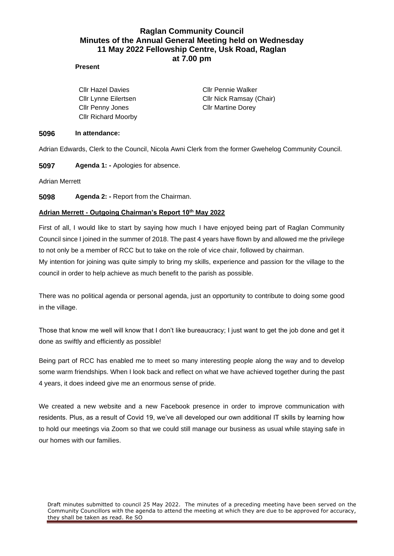# **Raglan Community Council Minutes of the Annual General Meeting held on Wednesday 11 May 2022 Fellowship Centre, Usk Road, Raglan at 7.00 pm**

## **Present**

Cllr Penny Jones Cllr Martine Dorey Cllr Richard Moorby

Cllr Hazel Davies **Cllr Pennie Walker** Cllr Lynne Eilertsen Cllr Nick Ramsay (Chair)

### **5096 In attendance:**

Adrian Edwards, Clerk to the Council, Nicola Awni Clerk from the former Gwehelog Community Council.

**5097 Agenda 1: -** Apologies for absence.

Adrian Merrett

**5098 Agenda 2: -** Report from the Chairman.

## **Adrian Merrett - Outgoing Chairman's Report 10th May 2022**

First of all, I would like to start by saying how much I have enjoyed being part of Raglan Community Council since I joined in the summer of 2018. The past 4 years have flown by and allowed me the privilege to not only be a member of RCC but to take on the role of vice chair, followed by chairman.

My intention for joining was quite simply to bring my skills, experience and passion for the village to the council in order to help achieve as much benefit to the parish as possible.

There was no political agenda or personal agenda, just an opportunity to contribute to doing some good in the village.

Those that know me well will know that I don't like bureaucracy; I just want to get the job done and get it done as swiftly and efficiently as possible!

Being part of RCC has enabled me to meet so many interesting people along the way and to develop some warm friendships. When I look back and reflect on what we have achieved together during the past 4 years, it does indeed give me an enormous sense of pride.

We created a new website and a new Facebook presence in order to improve communication with residents. Plus, as a result of Covid 19, we've all developed our own additional IT skills by learning how to hold our meetings via Zoom so that we could still manage our business as usual while staying safe in our homes with our families.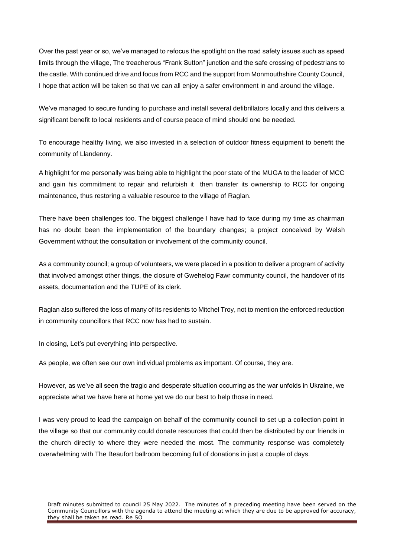Over the past year or so, we've managed to refocus the spotlight on the road safety issues such as speed limits through the village, The treacherous "Frank Sutton" junction and the safe crossing of pedestrians to the castle. With continued drive and focus from RCC and the support from Monmouthshire County Council, I hope that action will be taken so that we can all enjoy a safer environment in and around the village.

We've managed to secure funding to purchase and install several defibrillators locally and this delivers a significant benefit to local residents and of course peace of mind should one be needed.

To encourage healthy living, we also invested in a selection of outdoor fitness equipment to benefit the community of Llandenny.

A highlight for me personally was being able to highlight the poor state of the MUGA to the leader of MCC and gain his commitment to repair and refurbish it then transfer its ownership to RCC for ongoing maintenance, thus restoring a valuable resource to the village of Raglan.

There have been challenges too. The biggest challenge I have had to face during my time as chairman has no doubt been the implementation of the boundary changes; a project conceived by Welsh Government without the consultation or involvement of the community council.

As a community council; a group of volunteers, we were placed in a position to deliver a program of activity that involved amongst other things, the closure of Gwehelog Fawr community council, the handover of its assets, documentation and the TUPE of its clerk.

Raglan also suffered the loss of many of its residents to Mitchel Troy, not to mention the enforced reduction in community councillors that RCC now has had to sustain.

In closing, Let's put everything into perspective.

As people, we often see our own individual problems as important. Of course, they are.

However, as we've all seen the tragic and desperate situation occurring as the war unfolds in Ukraine, we appreciate what we have here at home yet we do our best to help those in need.

I was very proud to lead the campaign on behalf of the community council to set up a collection point in the village so that our community could donate resources that could then be distributed by our friends in the church directly to where they were needed the most. The community response was completely overwhelming with The Beaufort ballroom becoming full of donations in just a couple of days.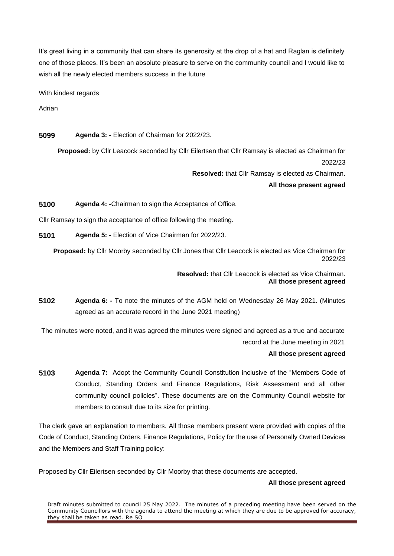It's great living in a community that can share its generosity at the drop of a hat and Raglan is definitely one of those places. It's been an absolute pleasure to serve on the community council and I would like to wish all the newly elected members success in the future

With kindest regards

Adrian

**5099 Agenda 3: -** Election of Chairman for 2022/23.

**Proposed:** by Cllr Leacock seconded by Cllr Eilertsen that Cllr Ramsay is elected as Chairman for 2022/23

**Resolved:** that Cllr Ramsay is elected as Chairman.

**All those present agreed** 

**5100 Agenda 4: -**Chairman to sign the Acceptance of Office.

Cllr Ramsay to sign the acceptance of office following the meeting.

**5101 Agenda 5: -** Election of Vice Chairman for 2022/23.

**Proposed:** by Cllr Moorby seconded by Cllr Jones that Cllr Leacock is elected as Vice Chairman for 2022/23

> **Resolved:** that Cllr Leacock is elected as Vice Chairman. **All those present agreed**

**5102 Agenda 6: -** To note the minutes of the AGM held on Wednesday 26 May 2021. (Minutes agreed as an accurate record in the June 2021 meeting)

The minutes were noted, and it was agreed the minutes were signed and agreed as a true and accurate record at the June meeting in 2021

## **All those present agreed**

**5103 Agenda 7:** Adopt the Community Council Constitution inclusive of the "Members Code of Conduct, Standing Orders and Finance Regulations, Risk Assessment and all other community council policies". These documents are on the Community Council website for members to consult due to its size for printing.

The clerk gave an explanation to members. All those members present were provided with copies of the Code of Conduct, Standing Orders, Finance Regulations, Policy for the use of Personally Owned Devices and the Members and Staff Training policy:

Proposed by Cllr Eilertsen seconded by Cllr Moorby that these documents are accepted.

## **All those present agreed**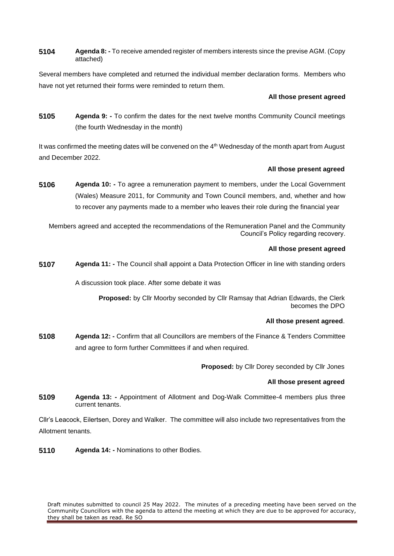**5104 Agenda 8: -** To receive amended register of members interests since the previse AGM. (Copy attached)

Several members have completed and returned the individual member declaration forms. Members who have not yet returned their forms were reminded to return them.

## **All those present agreed**

**5105 Agenda 9: -** To confirm the dates for the next twelve months Community Council meetings (the fourth Wednesday in the month)

It was confirmed the meeting dates will be convened on the 4<sup>th</sup> Wednesday of the month apart from August and December 2022.

## **All those present agreed**

**5106 Agenda 10: -** To agree a remuneration payment to members, under the Local Government (Wales) Measure 2011, for Community and Town Council members, and, whether and how to recover any payments made to a member who leaves their role during the financial year

Members agreed and accepted the recommendations of the Remuneration Panel and the Community Council's Policy regarding recovery.

## **All those present agreed**

**5107 Agenda 11: -** The Council shall appoint a Data Protection Officer in line with standing orders

A discussion took place. After some debate it was

**Proposed:** by Cllr Moorby seconded by Cllr Ramsay that Adrian Edwards, the Clerk becomes the DPO

## **All those present agreed**.

**5108 Agenda 12: -** Confirm that all Councillors are members of the Finance & Tenders Committee and agree to form further Committees if and when required.

**Proposed:** by Cllr Dorey seconded by Cllr Jones

## **All those present agreed**

**5109 Agenda 13: -** Appointment of Allotment and Dog-Walk Committee-4 members plus three current tenants.

Cllr's Leacock, Eilertsen, Dorey and Walker. The committee will also include two representatives from the Allotment tenants.

**5110 Agenda 14: -** Nominations to other Bodies.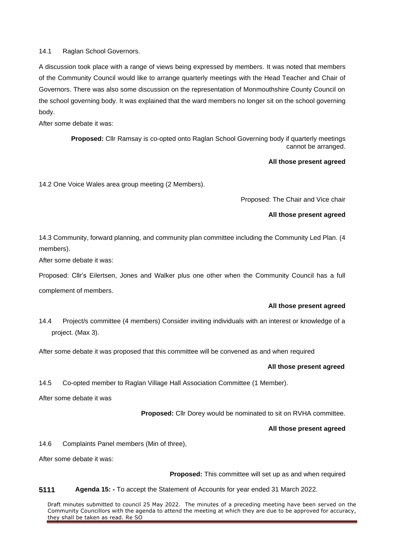14.1 Raglan School Governors.

A discussion took place with a range of views being expressed by members. It was noted that members of the Community Council would like to arrange quarterly meetings with the Head Teacher and Chair of Governors. There was also some discussion on the representation of Monmouthshire County Council on the school governing body. It was explained that the ward members no longer sit on the school governing body.

After some debate it was:

**Proposed:** Cllr Ramsay is co-opted onto Raglan School Governing body if quarterly meetings cannot be arranged.

#### **All those present agreed**

14.2 One Voice Wales area group meeting (2 Members).

Proposed: The Chair and Vice chair

### **All those present agreed**

14.3 Community, forward planning, and community plan committee including the Community Led Plan. (4 members).

After some debate it was:

Proposed: Cllr's Eilertsen, Jones and Walker plus one other when the Community Council has a full complement of members.

#### **All those present agreed**

14.4 Project/s committee (4 members) Consider inviting individuals with an interest or knowledge of a project. (Max 3).

After some debate it was proposed that this committee will be convened as and when required

#### **All those present agreed**

14.5 Co-opted member to Raglan Village Hall Association Committee (1 Member).

After some debate it was

**Proposed:** Cllr Dorey would be nominated to sit on RVHA committee.

#### **All those present agreed**

14.6 Complaints Panel members (Min of three),

After some debate it was:

**Proposed:** This committee will set up as and when required

### **5111 Agenda 15: -** To accept the Statement of Accounts for year ended 31 March 2022.